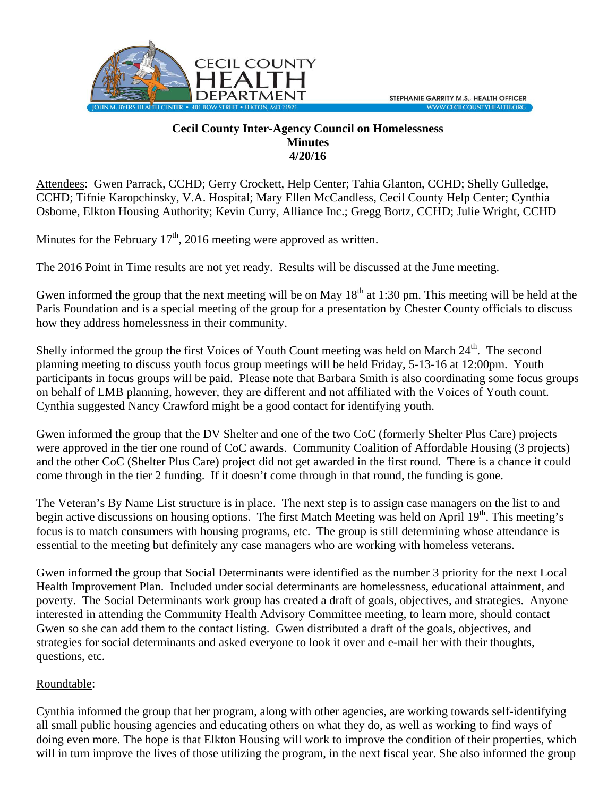

## **Cecil County Inter-Agency Council on Homelessness Minutes 4/20/16**

Attendees: Gwen Parrack, CCHD; Gerry Crockett, Help Center; Tahia Glanton, CCHD; Shelly Gulledge, CCHD; Tifnie Karopchinsky, V.A. Hospital; Mary Ellen McCandless, Cecil County Help Center; Cynthia Osborne, Elkton Housing Authority; Kevin Curry, Alliance Inc.; Gregg Bortz, CCHD; Julie Wright, CCHD

Minutes for the February  $17<sup>th</sup>$ , 2016 meeting were approved as written.

The 2016 Point in Time results are not yet ready. Results will be discussed at the June meeting.

Gwen informed the group that the next meeting will be on May  $18<sup>th</sup>$  at 1:30 pm. This meeting will be held at the Paris Foundation and is a special meeting of the group for a presentation by Chester County officials to discuss how they address homelessness in their community.

Shelly informed the group the first Voices of Youth Count meeting was held on March 24<sup>th</sup>. The second planning meeting to discuss youth focus group meetings will be held Friday, 5-13-16 at 12:00pm. Youth participants in focus groups will be paid. Please note that Barbara Smith is also coordinating some focus groups on behalf of LMB planning, however, they are different and not affiliated with the Voices of Youth count. Cynthia suggested Nancy Crawford might be a good contact for identifying youth.

Gwen informed the group that the DV Shelter and one of the two CoC (formerly Shelter Plus Care) projects were approved in the tier one round of CoC awards. Community Coalition of Affordable Housing (3 projects) and the other CoC (Shelter Plus Care) project did not get awarded in the first round. There is a chance it could come through in the tier 2 funding. If it doesn't come through in that round, the funding is gone.

The Veteran's By Name List structure is in place. The next step is to assign case managers on the list to and begin active discussions on housing options. The first Match Meeting was held on April 19<sup>th</sup>. This meeting's focus is to match consumers with housing programs, etc. The group is still determining whose attendance is essential to the meeting but definitely any case managers who are working with homeless veterans.

Gwen informed the group that Social Determinants were identified as the number 3 priority for the next Local Health Improvement Plan. Included under social determinants are homelessness, educational attainment, and poverty. The Social Determinants work group has created a draft of goals, objectives, and strategies. Anyone interested in attending the Community Health Advisory Committee meeting, to learn more, should contact Gwen so she can add them to the contact listing. Gwen distributed a draft of the goals, objectives, and strategies for social determinants and asked everyone to look it over and e-mail her with their thoughts, questions, etc.

## Roundtable:

Cynthia informed the group that her program, along with other agencies, are working towards self-identifying all small public housing agencies and educating others on what they do, as well as working to find ways of doing even more. The hope is that Elkton Housing will work to improve the condition of their properties, which will in turn improve the lives of those utilizing the program, in the next fiscal year. She also informed the group